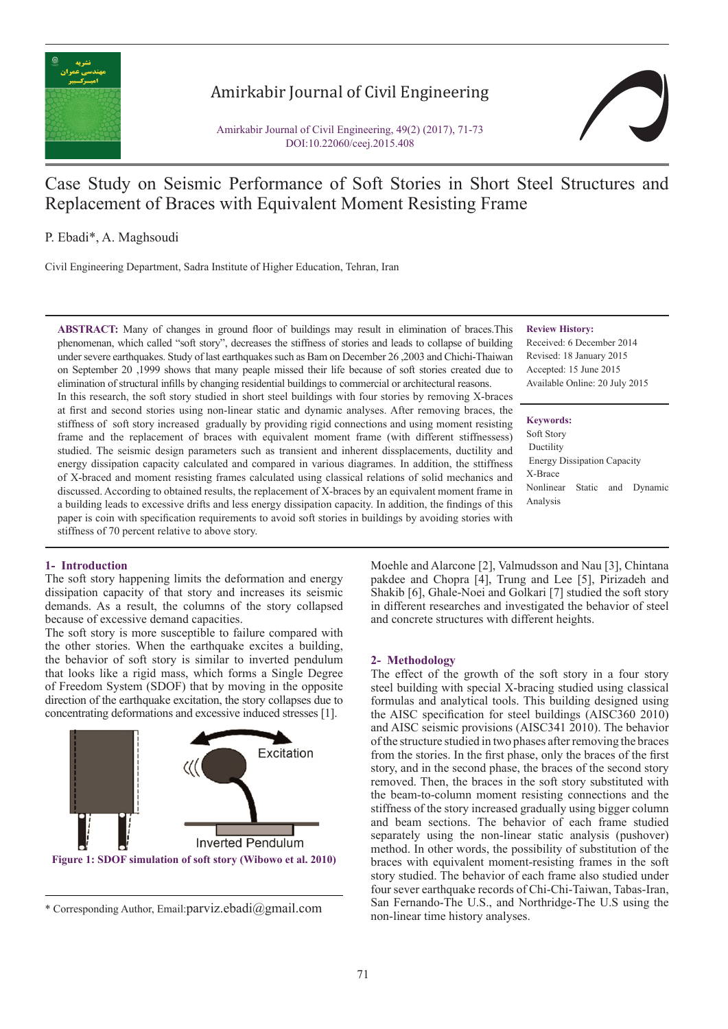

# Amirkabir Journal of Civil Engineering

Amirkabir Journal of Civil Engineering, 49(2) (2017), 71-73 DOI:10.22060/ceej.2015.408

# Case Study on Seismic Performance of Soft Stories in Short Steel Structures and Replacement of Braces with Equivalent Moment Resisting Frame

P. Ebadi\*, A. Maghsoudi

Civil Engineering Department, Sadra Institute of Higher Education, Tehran, Iran

**ABSTRACT:** Many of changes in ground floor of buildings may result in elimination of braces.This phenomenan, which called "soft story", decreases the stiffness of stories and leads to collapse of building under severe earthquakes. Study of last earthquakes such as Bam on December 26 ,2003 and Chichi-Thaiwan on September 20 ,1999 shows that many peaple missed their life because of soft stories created due to elimination of structural infills by changing residential buildings to commercial or architectural reasons.

In this research, the soft story studied in short steel buildings with four stories by removing X-braces at first and second stories using non-linear static and dynamic analyses. After removing braces, the stiffness of soft story increased gradually by providing rigid connections and using moment resisting frame and the replacement of braces with equivalent moment frame (with different stiffnessess) studied. The seismic design parameters such as transient and inherent dissplacements, ductility and energy dissipation capacity calculated and compared in various diagrames. In addition, the sttiffness of X-braced and moment resisting frames calculated using classical relations of solid mechanics and discussed. According to obtained results, the replacement of X-braces by an equivalent moment frame in a building leads to excessive drifts and less energy dissipation capacity. In addition, the findings of this paper is coin with specification requirements to avoid soft stories in buildings by avoiding stories with stiffness of 70 percent relative to above story.

### **Review History:**

Received: 6 December 2014 Revised: 18 January 2015 Accepted: 15 June 2015 Available Online: 20 July 2015

### **Keywords:**

Soft Story Ductility Energy Dissipation Capacity X-Brace Nonlinear Static and Dynamic Analysis

## **1- Introduction**

The soft story happening limits the deformation and energy dissipation capacity of that story and increases its seismic demands. As a result, the columns of the story collapsed because of excessive demand capacities.

The soft story is more susceptible to failure compared with the other stories. When the earthquake excites a building, the behavior of soft story is similar to inverted pendulum that looks like a rigid mass, which forms a Single Degree of Freedom System (SDOF) that by moving in the opposite direction of the earthquake excitation, the story collapses due to concentrating deformations and excessive induced stresses [1].



<sup>\*</sup> Corresponding Author, Email: parviz.ebadi@gmail.com ball remailed and NC non-linear time history analyses.

Moehle and Alarcone [2], Valmudsson and Nau [3], Chintana pakdee and Chopra [4], Trung and Lee [5], Pirizadeh and Shakib [6], Ghale-Noei and Golkari [7] studied the soft story in different researches and investigated the behavior of steel and concrete structures with different heights.

## **2- Methodology**

The effect of the growth of the soft story in a four story steel building with special X-bracing studied using classical formulas and analytical tools. This building designed using the AISC specification for steel buildings (AISC360 2010) and AISC seismic provisions (AISC341 2010). The behavior of the structure studied in two phases after removing the braces from the stories. In the first phase, only the braces of the first story, and in the second phase, the braces of the second story removed. Then, the braces in the soft story substituted with the beam-to-column moment resisting connections and the stiffness of the story increased gradually using bigger column and beam sections. The behavior of each frame studied separately using the non-linear static analysis (pushover) method. In other words, the possibility of substitution of the braces with equivalent moment-resisting frames in the soft story studied. The behavior of each frame also studied under four sever earthquake records of Chi-Chi-Taiwan, Tabas-Iran, San Fernando-The U.S., and Northridge-The U.S using the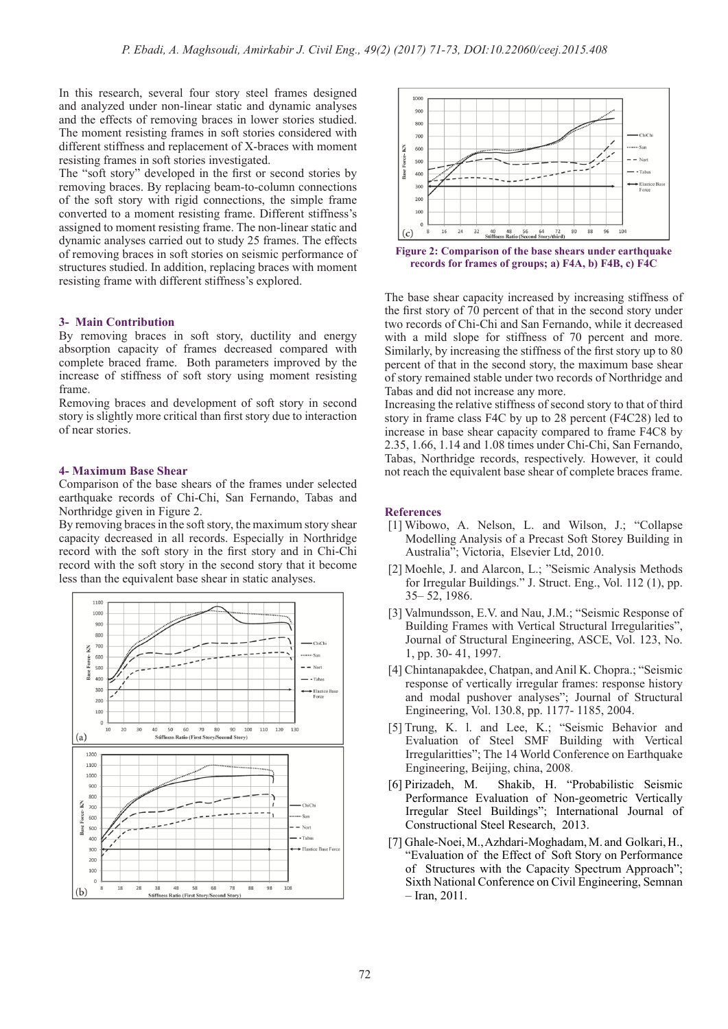In this research, several four story steel frames designed and analyzed under non-linear static and dynamic analyses and the effects of removing braces in lower stories studied. The moment resisting frames in soft stories considered with different stiffness and replacement of X-braces with moment resisting frames in soft stories investigated.

The "soft story" developed in the first or second stories by removing braces. By replacing beam-to-column connections of the soft story with rigid connections, the simple frame converted to a moment resisting frame. Different stiffness's assigned to moment resisting frame. The non-linear static and dynamic analyses carried out to study 25 frames. The effects of removing braces in soft stories on seismic performance of structures studied. In addition, replacing braces with moment resisting frame with different stiffness's explored.

### **3- Main Contribution**

By removing braces in soft story, ductility and energy absorption capacity of frames decreased compared with complete braced frame. Both parameters improved by the increase of stiffness of soft story using moment resisting frame.

Removing braces and development of soft story in second story is slightly more critical than first story due to interaction of near stories.

#### **4- Maximum Base Shear**

Comparison of the base shears of the frames under selected earthquake records of Chi-Chi, San Fernando, Tabas and Northridge given in Figure 2.

By removing braces in the soft story, the maximum story shear capacity decreased in all records. Especially in Northridge record with the soft story in the first story and in Chi-Chi record with the soft story in the second story that it become less than the equivalent base shear in static analyses.





Figure 2: Comparison of the base shears under earthquake **records for frames of groups; a) F4A, b) F4B, c) F4C**

The base shear capacity increased by increasing stiffness of the first story of 70 percent of that in the second story under two records of Chi-Chi and San Fernando, while it decreased with a mild slope for stiffness of 70 percent and more. Similarly, by increasing the stiffness of the first story up to 80 percent of that in the second story, the maximum base shear of story remained stable under two records of Northridge and Tabas and did not increase any more.

Increasing the relative stiffness of second story to that of third story in frame class F4C by up to 28 percent (F4C28) led to increase in base shear capacity compared to frame F4C8 by 2.35, 1.66, 1.14 and 1.08 times under Chi-Chi, San Fernando, Tabas, Northridge records, respectively. However, it could not reach the equivalent base shear of complete braces frame.

#### **References**

- [1] Wibowo, A. Nelson, L. and Wilson, J.; "Collapse Modelling Analysis of a Precast Soft Storey Building in Australia"; Victoria, Elsevier Ltd, 2010.
- [2] Moehle, J. and Alarcon, L.; "Seismic Analysis Methods for Irregular Buildings." J. Struct. Eng., Vol. 112 (1), pp. 35– 52, 1986.
- [3] Valmundsson, E.V. and Nau, J.M.; "Seismic Response of Building Frames with Vertical Structural Irregularities", Journal of Structural Engineering, ASCE, Vol. 123, No. 1, pp. 30- 41, 1997.
- [4] Chintanapakdee, Chatpan, and Anil K. Chopra.; "Seismic response of vertically irregular frames: response history and modal pushover analyses"; Journal of Structural Engineering, Vol. 130.8, pp. 1177- 1185, 2004.
- [5] Trung, K. l. and Lee, K.; "Seismic Behavior and Evaluation of Steel SMF Building with Vertical Irregularitties"; The 14 World Conference on Earthquake Engineering, Beijing, china, 2008.
- [6] Pirizadeh, M. Shakib, H. "Probabilistic Seismic Performance Evaluation of Non-geometric Vertically Irregular Steel Buildings"; International Journal of Constructional Steel Research, 2013.
- [7] Ghale-Noei, M., Azhdari-Moghadam, M. and Golkari, H., "Evaluation of the Effect of Soft Story on Performance of Structures with the Capacity Spectrum Approach"; Sixth National Conference on Civil Engineering, Semnan – Iran, 2011.